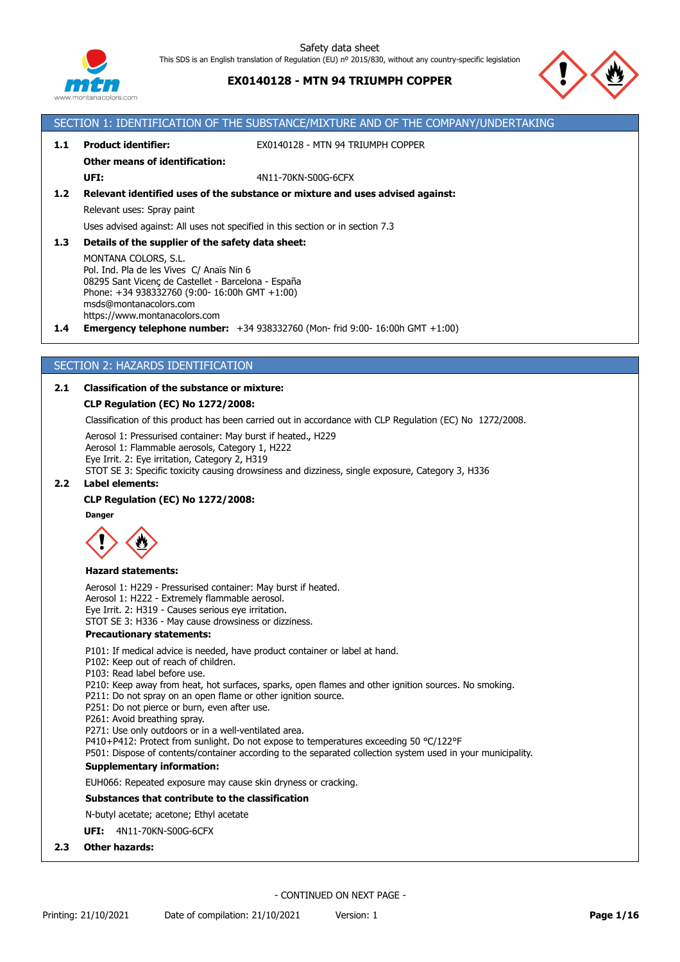

# **EX0140128 - MTN 94 TRIUMPH COPPER**

SECTION 1: IDENTIFICATION OF THE SUBSTANCE/MIXTURE AND OF THE COMPANY/UNDERTAKING



| 1.1 | <b>Product identifier:</b>                                                                                                                                                                                                           | EX0140128 - MTN 94 TRIUMPH COPPER                                              |
|-----|--------------------------------------------------------------------------------------------------------------------------------------------------------------------------------------------------------------------------------------|--------------------------------------------------------------------------------|
|     | <b>Other means of identification:</b>                                                                                                                                                                                                |                                                                                |
|     | UFI:                                                                                                                                                                                                                                 | 4N11-70KN-S00G-6CFX                                                            |
| 1.2 |                                                                                                                                                                                                                                      | Relevant identified uses of the substance or mixture and uses advised against: |
|     | Relevant uses: Spray paint                                                                                                                                                                                                           |                                                                                |
|     | Uses advised against: All uses not specified in this section or in section 7.3                                                                                                                                                       |                                                                                |
| 1.3 | Details of the supplier of the safety data sheet:                                                                                                                                                                                    |                                                                                |
|     | MONTANA COLORS, S.L.<br>Pol. Ind. Pla de les Vives C/ Anaïs Nin 6<br>08295 Sant Vicenç de Castellet - Barcelona - España<br>Phone: +34 938332760 (9:00- 16:00h GMT +1:00)<br>msds@montanacolors.com<br>https://www.montanacolors.com |                                                                                |

**1.4 Emergency telephone number:** +34 938332760 (Mon- frid 9:00- 16:00h GMT +1:00)

### SECTION 2: HAZARDS IDENTIFICATION

### **2.1 Classification of the substance or mixture:**

### **CLP Regulation (EC) No 1272/2008:**

Classification of this product has been carried out in accordance with CLP Regulation (EC) No 1272/2008.

Aerosol 1: Pressurised container: May burst if heated., H229 Aerosol 1: Flammable aerosols, Category 1, H222

Eye Irrit. 2: Eye irritation, Category 2, H319

STOT SE 3: Specific toxicity causing drowsiness and dizziness, single exposure, Category 3, H336

# **2.2 Label elements:**

#### **CLP Regulation (EC) No 1272/2008:**



#### **Hazard statements:**

Aerosol 1: H229 - Pressurised container: May burst if heated. Aerosol 1: H222 - Extremely flammable aerosol. Eye Irrit. 2: H319 - Causes serious eye irritation. STOT SE 3: H336 - May cause drowsiness or dizziness.

#### **Precautionary statements:**

P101: If medical advice is needed, have product container or label at hand.

- P102: Keep out of reach of children.
- P103: Read label before use.

P210: Keep away from heat, hot surfaces, sparks, open flames and other ignition sources. No smoking.

P211: Do not spray on an open flame or other ignition source.

P251: Do not pierce or burn, even after use.

P261: Avoid breathing spray.

P271: Use only outdoors or in a well-ventilated area.

P410+P412: Protect from sunlight. Do not expose to temperatures exceeding 50 °C/122°F

P501: Dispose of contents/container according to the separated collection system used in your municipality.

#### **Supplementary information:**

EUH066: Repeated exposure may cause skin dryness or cracking.

**Substances that contribute to the classification**

N-butyl acetate; acetone; Ethyl acetate

**UFI:** 4N11-70KN-S00G-6CFX

**2.3 Other hazards:**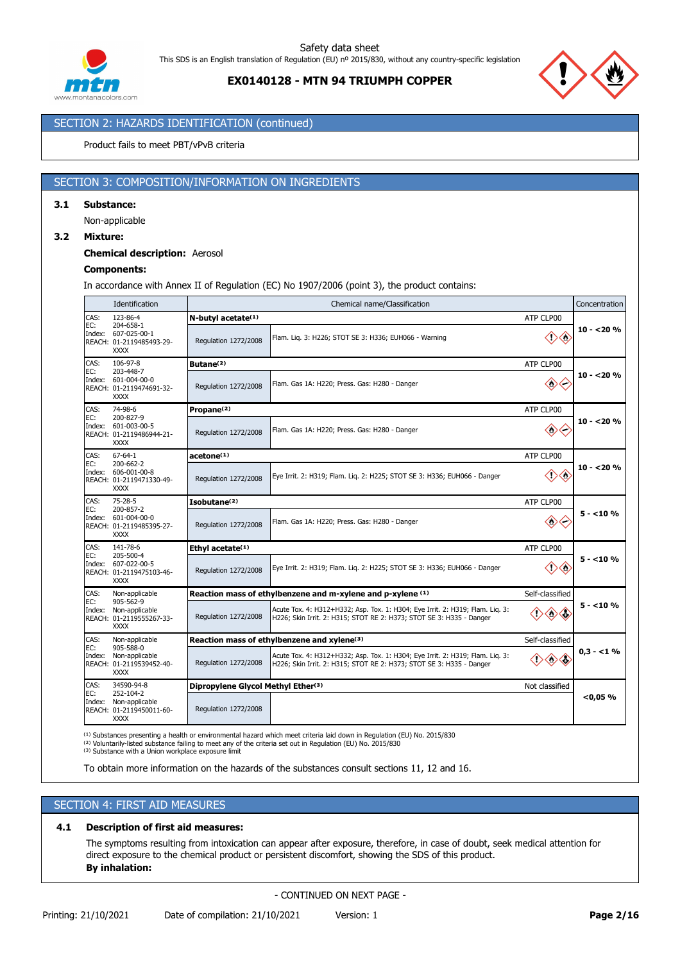



# SECTION 2: HAZARDS IDENTIFICATION (continued)

#### Product fails to meet PBT/vPvB criteria

### SECTION 3: COMPOSITION/INFORMATION ON INGREDIENTS

#### **3.1 Substance:**

Non-applicable

#### **3.2 Mixture:**

#### **Chemical description:** Aerosol

### **Components:**

In accordance with Annex II of Regulation (EC) No 1907/2006 (point 3), the product contains:

|               | Identification                                                                |                                             | Chemical name/Classification                                                                                                                          |                     | Concentration |
|---------------|-------------------------------------------------------------------------------|---------------------------------------------|-------------------------------------------------------------------------------------------------------------------------------------------------------|---------------------|---------------|
| CAS:          | 123-86-4                                                                      | N-butyl acetate(1)                          |                                                                                                                                                       | ATP CLP00           |               |
| EC:           | 204-658-1<br>Index: 607-025-00-1<br>REACH: 01-2119485493-29-<br><b>XXXX</b>   | Regulation 1272/2008                        | Flam. Liq. 3: H226; STOT SE 3: H336; EUH066 - Warning                                                                                                 | $\diamondsuit$      | $10 - 20%$    |
| CAS:          | 106-97-8                                                                      | Butane <sup>(2)</sup>                       |                                                                                                                                                       | ATP CLP00           |               |
| EC:           | 203-448-7<br>Index: 601-004-00-0<br>REACH: 01-2119474691-32-<br><b>XXXX</b>   | Regulation 1272/2008                        | Flam. Gas 1A: H220; Press. Gas: H280 - Danger                                                                                                         | $\diamondsuit$      | $10 - 20%$    |
| CAS:          | 74-98-6                                                                       | Propane <sup>(2)</sup>                      |                                                                                                                                                       | ATP CLP00           |               |
| EC:           | 200-827-9<br>Index: 601-003-00-5<br>REACH: 01-2119486944-21-<br><b>XXXX</b>   | Regulation 1272/2008                        | Flam. Gas 1A: H220; Press. Gas: H280 - Danger                                                                                                         | $\diamondsuit$      | $10 - 20%$    |
| CAS:          | $67 - 64 - 1$                                                                 | acetone <sup>(1)</sup>                      |                                                                                                                                                       | ATP CLP00           |               |
| EC:           | 200-662-2<br>Index: 606-001-00-8<br>REACH: 01-2119471330-49-<br><b>XXXX</b>   | Regulation 1272/2008                        | Eye Irrit. 2: H319; Flam. Lig. 2: H225; STOT SE 3: H336; EUH066 - Danger                                                                              | $\diamondsuit$<br>◇ | $10 - 20%$    |
| CAS:          | $75 - 28 - 5$                                                                 | Isobutane <sup>(2)</sup>                    |                                                                                                                                                       | ATP CLP00           |               |
| EC:           | 200-857-2<br>Index: 601-004-00-0<br>REACH: 01-2119485395-27-<br><b>XXXX</b>   | Regulation 1272/2008                        | Flam. Gas 1A: H220; Press. Gas: H280 - Danger                                                                                                         | $\Leftrightarrow$   | $5 - 10%$     |
| CAS:          | 141-78-6                                                                      | Ethyl acetate(1)                            |                                                                                                                                                       | ATP CLP00           |               |
| EC:           | 205-500-4<br>Index: 607-022-00-5<br>REACH: 01-2119475103-46-<br><b>XXXX</b>   | Regulation 1272/2008                        | Eye Irrit. 2: H319; Flam. Lig. 2: H225; STOT SE 3: H336; EUH066 - Danger                                                                              | $\diamondsuit$<br>◇ | $5 - 10%$     |
| CAS:          | Non-applicable                                                                |                                             | Reaction mass of ethylbenzene and m-xylene and p-xylene (1)                                                                                           | Self-classified     |               |
| EC:           | 905-562-9<br>Index: Non-applicable<br>REACH: 01-2119555267-33-<br><b>XXXX</b> | Regulation 1272/2008                        | Acute Tox. 4: H312+H332; Asp. Tox. 1: H304; Eye Irrit. 2: H319; Flam. Lig. 3:<br>H226; Skin Irrit. 2: H315; STOT RE 2: H373; STOT SE 3: H335 - Danger | ◈                   | $5 - 10%$     |
| CAS:          | Non-applicable                                                                | Reaction mass of ethylbenzene and xylene(3) | Self-classified                                                                                                                                       |                     |               |
| EC:<br>Index: | 905-588-0<br>Non-applicable<br>REACH: 01-2119539452-40-<br><b>XXXX</b>        | Regulation 1272/2008                        | Acute Tox. 4: H312+H332; Asp. Tox. 1: H304; Eye Irrit. 2: H319; Flam. Lig. 3:<br>H226; Skin Irrit. 2: H315; STOT RE 2: H373; STOT SE 3: H335 - Danger | ◇◇                  | $0.3 - 1\%$   |
| CAS:          | 34590-94-8                                                                    | Dipropylene Glycol Methyl Ether(3)          |                                                                                                                                                       | Not classified      |               |
| EC:<br>Index: | 252-104-2<br>Non-applicable<br>REACH: 01-2119450011-60-<br><b>XXXX</b>        | Regulation 1272/2008                        |                                                                                                                                                       |                     | < 0.05 %      |

⁽¹⁾ Substances presenting a health or environmental hazard which meet criteria laid down in Regulation (EU) No. 2015/830

<sup>(2)</sup> Voluntarily-listed substance failing to meet any of the criteria set out in Regulation (EU) No. 2015/830<br><sup>(3)</sup> Substance with a Union workplace exposure limit

To obtain more information on the hazards of the substances consult sections 11, 12 and 16.

# SECTION 4: FIRST AID MEASURES

#### **4.1 Description of first aid measures:**

The symptoms resulting from intoxication can appear after exposure, therefore, in case of doubt, seek medical attention for direct exposure to the chemical product or persistent discomfort, showing the SDS of this product. **By inhalation:**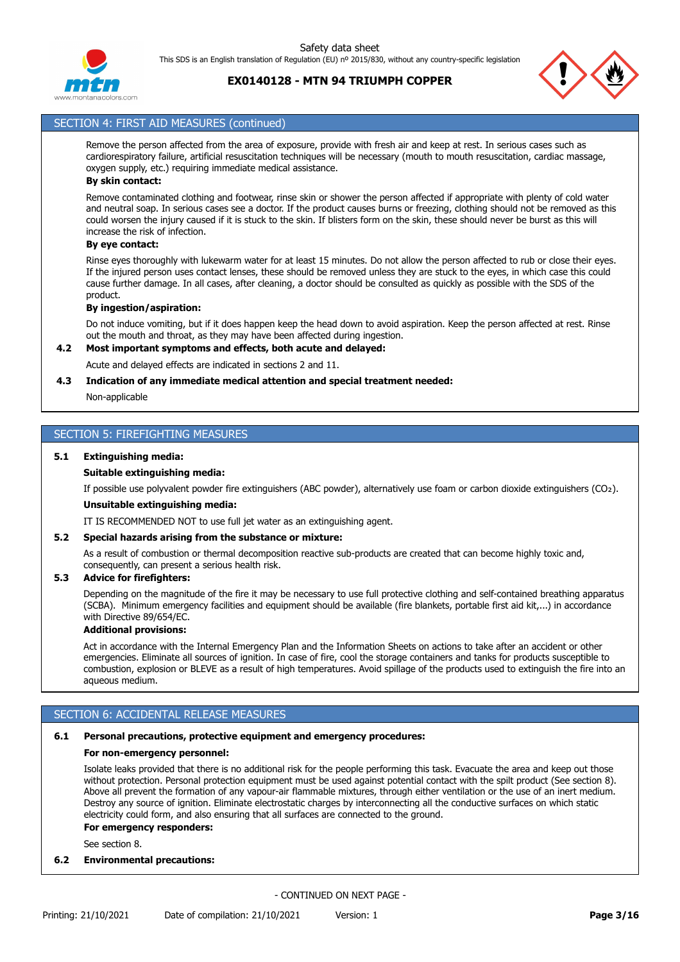



# SECTION 4: FIRST AID MEASURES (continued)

Remove the person affected from the area of exposure, provide with fresh air and keep at rest. In serious cases such as cardiorespiratory failure, artificial resuscitation techniques will be necessary (mouth to mouth resuscitation, cardiac massage, oxygen supply, etc.) requiring immediate medical assistance.

# **By skin contact:**

Remove contaminated clothing and footwear, rinse skin or shower the person affected if appropriate with plenty of cold water and neutral soap. In serious cases see a doctor. If the product causes burns or freezing, clothing should not be removed as this could worsen the injury caused if it is stuck to the skin. If blisters form on the skin, these should never be burst as this will increase the risk of infection.

### **By eye contact:**

Rinse eyes thoroughly with lukewarm water for at least 15 minutes. Do not allow the person affected to rub or close their eyes. If the injured person uses contact lenses, these should be removed unless they are stuck to the eyes, in which case this could cause further damage. In all cases, after cleaning, a doctor should be consulted as quickly as possible with the SDS of the product.

#### **By ingestion/aspiration:**

Do not induce vomiting, but if it does happen keep the head down to avoid aspiration. Keep the person affected at rest. Rinse out the mouth and throat, as they may have been affected during ingestion.

#### **4.2 Most important symptoms and effects, both acute and delayed:**

Acute and delayed effects are indicated in sections 2 and 11.

#### **4.3 Indication of any immediate medical attention and special treatment needed:**

Non-applicable

# SECTION 5: FIREFIGHTING MEASURES

#### **5.1 Extinguishing media:**

#### **Suitable extinguishing media:**

If possible use polyvalent powder fire extinguishers (ABC powder), alternatively use foam or carbon dioxide extinguishers (CO₂).

#### **Unsuitable extinguishing media:**

IT IS RECOMMENDED NOT to use full jet water as an extinguishing agent.

#### **5.2 Special hazards arising from the substance or mixture:**

As a result of combustion or thermal decomposition reactive sub-products are created that can become highly toxic and, consequently, can present a serious health risk.

#### **5.3 Advice for firefighters:**

Depending on the magnitude of the fire it may be necessary to use full protective clothing and self-contained breathing apparatus (SCBA). Minimum emergency facilities and equipment should be available (fire blankets, portable first aid kit,...) in accordance with Directive 89/654/EC.

#### **Additional provisions:**

Act in accordance with the Internal Emergency Plan and the Information Sheets on actions to take after an accident or other emergencies. Eliminate all sources of ignition. In case of fire, cool the storage containers and tanks for products susceptible to combustion, explosion or BLEVE as a result of high temperatures. Avoid spillage of the products used to extinguish the fire into an aqueous medium.

# SECTION 6: ACCIDENTAL RELEASE MEASURES

### **6.1 Personal precautions, protective equipment and emergency procedures:**

#### **For non-emergency personnel:**

Isolate leaks provided that there is no additional risk for the people performing this task. Evacuate the area and keep out those without protection. Personal protection equipment must be used against potential contact with the spilt product (See section 8). Above all prevent the formation of any vapour-air flammable mixtures, through either ventilation or the use of an inert medium. Destroy any source of ignition. Eliminate electrostatic charges by interconnecting all the conductive surfaces on which static electricity could form, and also ensuring that all surfaces are connected to the ground.

#### **For emergency responders:**

See section 8.

### **6.2 Environmental precautions:**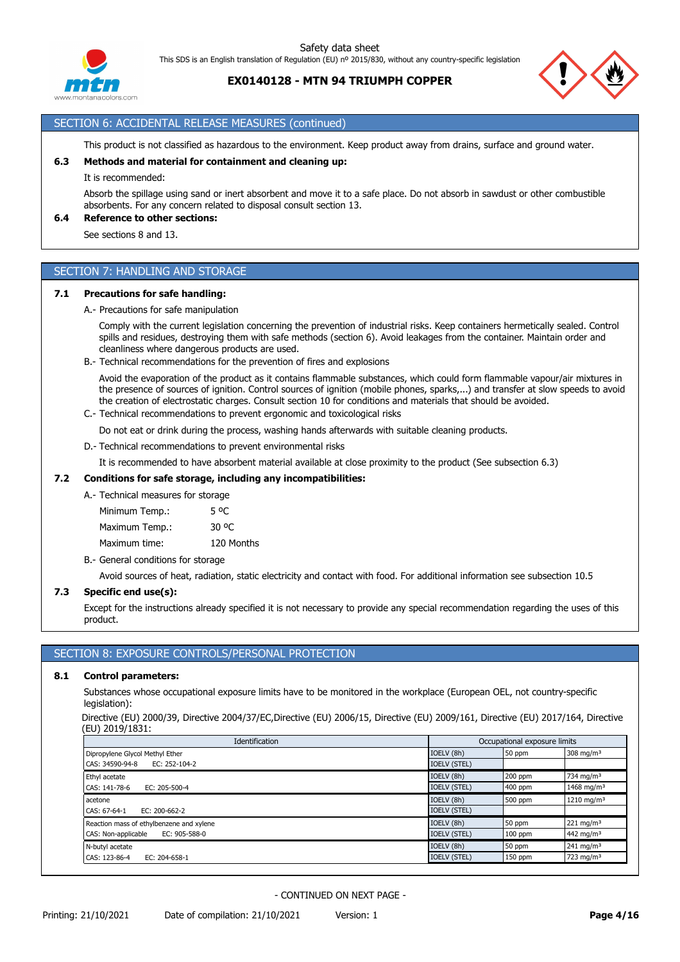

**EX0140128 - MTN 94 TRIUMPH COPPER**



# SECTION 6: ACCIDENTAL RELEASE MEASURES (continued)

This product is not classified as hazardous to the environment. Keep product away from drains, surface and ground water.

#### **6.3 Methods and material for containment and cleaning up:**

It is recommended:

Absorb the spillage using sand or inert absorbent and move it to a safe place. Do not absorb in sawdust or other combustible absorbents. For any concern related to disposal consult section 13.

# **6.4 Reference to other sections:**

See sections 8 and 13.

### SECTION 7: HANDLING AND STORAGE

#### **7.1 Precautions for safe handling:**

A.- Precautions for safe manipulation

Comply with the current legislation concerning the prevention of industrial risks. Keep containers hermetically sealed. Control spills and residues, destroying them with safe methods (section 6). Avoid leakages from the container. Maintain order and cleanliness where dangerous products are used.

B.- Technical recommendations for the prevention of fires and explosions

Avoid the evaporation of the product as it contains flammable substances, which could form flammable vapour/air mixtures in the presence of sources of ignition. Control sources of ignition (mobile phones, sparks,...) and transfer at slow speeds to avoid the creation of electrostatic charges. Consult section 10 for conditions and materials that should be avoided.

C.- Technical recommendations to prevent ergonomic and toxicological risks

Do not eat or drink during the process, washing hands afterwards with suitable cleaning products.

D.- Technical recommendations to prevent environmental risks

It is recommended to have absorbent material available at close proximity to the product (See subsection 6.3)

#### **7.2 Conditions for safe storage, including any incompatibilities:**

### A.- Technical measures for storage

Minimum Temp.: 5 °C Maximum Temp.: 30 °C Maximum time: 120 Months

B.- General conditions for storage

Avoid sources of heat, radiation, static electricity and contact with food. For additional information see subsection 10.5

#### **7.3 Specific end use(s):**

Except for the instructions already specified it is not necessary to provide any special recommendation regarding the uses of this product.

### SECTION 8: EXPOSURE CONTROLS/PERSONAL PROTECTION

#### **8.1 Control parameters:**

Substances whose occupational exposure limits have to be monitored in the workplace (European OEL, not country-specific legislation):

Directive (EU) 2000/39, Directive 2004/37/EC,Directive (EU) 2006/15, Directive (EU) 2009/161, Directive (EU) 2017/164, Directive (EU) 2019/1831:

| Identification                           |                     | Occupational exposure limits |                        |
|------------------------------------------|---------------------|------------------------------|------------------------|
| Dipropylene Glycol Methyl Ether          | IOELV (8h)          | 50 ppm                       | 308 mg/m <sup>3</sup>  |
| CAS: 34590-94-8<br>EC: 252-104-2         | <b>IOELV (STEL)</b> |                              |                        |
| Ethyl acetate                            | IOELV (8h)          | $200$ ppm                    | 734 mg/m <sup>3</sup>  |
| CAS: 141-78-6<br>$EC: 205 - 500 - 4$     | <b>IOELV (STEL)</b> | 400 ppm                      | 1468 mg/m <sup>3</sup> |
| acetone                                  | IOELV (8h)          | 500 ppm                      | 1210 mg/m <sup>3</sup> |
| CAS: 67-64-1<br>EC: $200 - 662 - 2$      | <b>IOELV (STEL)</b> |                              |                        |
| Reaction mass of ethylbenzene and xylene | IOELV (8h)          | 50 ppm                       | $221 \text{ mg/m}^3$   |
| CAS: Non-applicable<br>EC: 905-588-0     | <b>IOELV (STEL)</b> | $100$ ppm                    | 442 mg/m <sup>3</sup>  |
| N-butyl acetate                          | IOELV (8h)          | 50 ppm                       | $241 \text{ mg/m}^3$   |
| CAS: 123-86-4<br>EC: 204-658-1           | <b>IOELV (STEL)</b> | 150 ppm                      | 723 mg/m $3$           |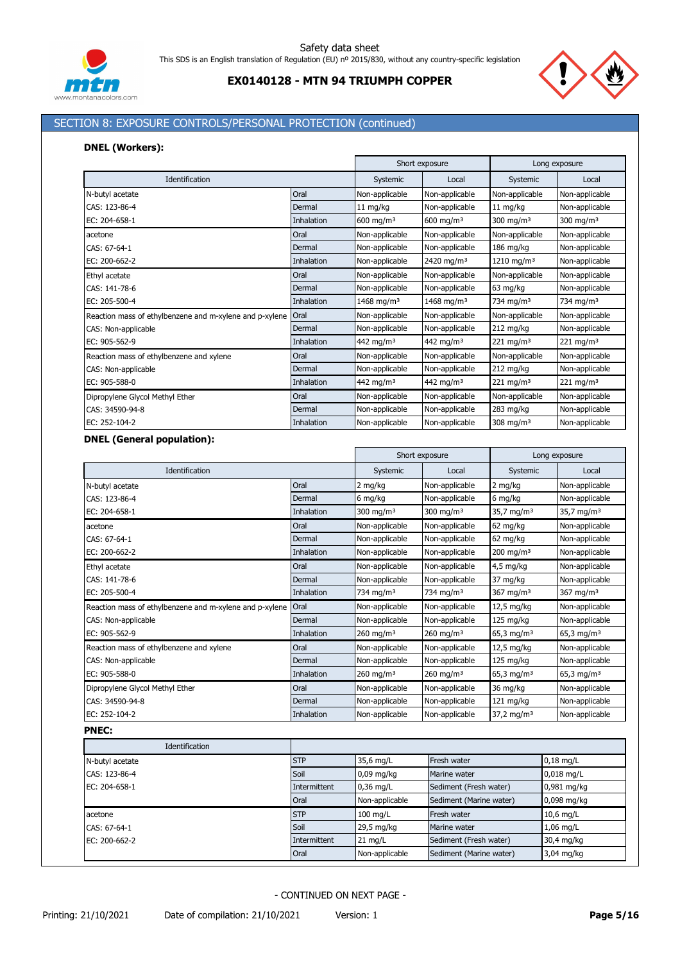



# SECTION 8: EXPOSURE CONTROLS/PERSONAL PROTECTION (continued)

### **DNEL (Workers):**

|                                                         |            |                        | Short exposure         |                        | Long exposure           |
|---------------------------------------------------------|------------|------------------------|------------------------|------------------------|-------------------------|
| Identification                                          |            | Systemic               | Local                  | Systemic               | Local                   |
| N-butyl acetate                                         | Oral       | Non-applicable         | Non-applicable         | Non-applicable         | Non-applicable          |
| CAS: 123-86-4                                           | Dermal     | $11 \text{ mg/kg}$     | Non-applicable         | $11 \text{ mg/kg}$     | Non-applicable          |
| EC: 204-658-1                                           | Inhalation | 600 mg/m <sup>3</sup>  | 600 mg/m <sup>3</sup>  | 300 mg/m $3$           | 300 mg/m $3$            |
| acetone                                                 | Oral       | Non-applicable         | Non-applicable         | Non-applicable         | Non-applicable          |
| CAS: 67-64-1                                            | Dermal     | Non-applicable         | Non-applicable         | $186$ mg/kg            | Non-applicable          |
| EC: 200-662-2                                           | Inhalation | Non-applicable         | 2420 mg/m <sup>3</sup> | 1210 mg/m <sup>3</sup> | Non-applicable          |
| Ethyl acetate                                           | Oral       | Non-applicable         | Non-applicable         | Non-applicable         | Non-applicable          |
| CAS: 141-78-6                                           | Dermal     | Non-applicable         | Non-applicable         | 63 mg/kg               | Non-applicable          |
| EC: 205-500-4                                           | Inhalation | 1468 mg/m <sup>3</sup> | 1468 mg/m <sup>3</sup> | 734 mg/m <sup>3</sup>  | 734 mg/m <sup>3</sup>   |
| Reaction mass of ethylbenzene and m-xylene and p-xylene | Oral       | Non-applicable         | Non-applicable         | Non-applicable         | Non-applicable          |
| CAS: Non-applicable                                     | Dermal     | Non-applicable         | Non-applicable         | $212$ mg/kg            | Non-applicable          |
| EC: 905-562-9                                           | Inhalation | 442 mg/m <sup>3</sup>  | 442 mg/m <sup>3</sup>  | $221 \text{ mg/m}^3$   | $221 \,\mathrm{mg/m^3}$ |
| Reaction mass of ethylbenzene and xylene                | Oral       | Non-applicable         | Non-applicable         | Non-applicable         | Non-applicable          |
| CAS: Non-applicable                                     | Dermal     | Non-applicable         | Non-applicable         | 212 mg/kg              | Non-applicable          |
| EC: 905-588-0                                           | Inhalation | 442 mg/m <sup>3</sup>  | 442 mg/m <sup>3</sup>  | 221 mg/m <sup>3</sup>  | 221 mg/m <sup>3</sup>   |
| Dipropylene Glycol Methyl Ether                         | Oral       | Non-applicable         | Non-applicable         | Non-applicable         | Non-applicable          |
| CAS: 34590-94-8                                         | Dermal     | Non-applicable         | Non-applicable         | 283 mg/kg              | Non-applicable          |
| EC: 252-104-2                                           | Inhalation | Non-applicable         | Non-applicable         | $308 \text{ mg/m}^3$   | Non-applicable          |

### **DNEL (General population):**

|                                                         |              | Short exposure          |                         |                          | Long exposure          |
|---------------------------------------------------------|--------------|-------------------------|-------------------------|--------------------------|------------------------|
| Identification                                          |              | Systemic                | Local                   | Systemic                 | Local                  |
| N-butyl acetate                                         | Oral         | 2 mg/kg                 | Non-applicable          | 2 mg/kg                  | Non-applicable         |
| CAS: 123-86-4                                           | Dermal       | 6 mg/kg                 | Non-applicable          | 6 mg/kg                  | Non-applicable         |
| EC: 204-658-1                                           | Inhalation   | 300 mg/m $3$            | 300 mg/m $3$            | 35,7 mg/m <sup>3</sup>   | 35,7 mg/m <sup>3</sup> |
| acetone                                                 | Oral         | Non-applicable          | Non-applicable          | 62 mg/kg                 | Non-applicable         |
| CAS: 67-64-1                                            | Dermal       | Non-applicable          | Non-applicable          | 62 mg/kg                 | Non-applicable         |
| EC: 200-662-2                                           | Inhalation   | Non-applicable          | Non-applicable          | $200$ mg/m <sup>3</sup>  | Non-applicable         |
| Ethyl acetate                                           | Oral         | Non-applicable          | Non-applicable          | $4,5$ mg/kg              | Non-applicable         |
| CAS: 141-78-6                                           | Dermal       | Non-applicable          | Non-applicable          | 37 mg/kg                 | Non-applicable         |
| EC: 205-500-4                                           | Inhalation   | 734 mg/m <sup>3</sup>   | 734 mg/m <sup>3</sup>   | 367 mg/m $3$             | 367 mg/m $3$           |
| Reaction mass of ethylbenzene and m-xylene and p-xylene | Oral         | Non-applicable          | Non-applicable          | 12,5 mg/kg               | Non-applicable         |
| CAS: Non-applicable                                     | Dermal       | Non-applicable          | Non-applicable          | 125 mg/kg                | Non-applicable         |
| EC: 905-562-9                                           | Inhalation   | $260$ mg/m <sup>3</sup> | $260$ mg/m <sup>3</sup> | 65,3 mg/m <sup>3</sup>   | 65,3 mg/m <sup>3</sup> |
| Reaction mass of ethylbenzene and xylene                | Oral         | Non-applicable          | Non-applicable          | 12,5 mg/kg               | Non-applicable         |
| CAS: Non-applicable                                     | Dermal       | Non-applicable          | Non-applicable          | 125 mg/kg                | Non-applicable         |
| EC: 905-588-0                                           | Inhalation   | $260$ mg/m <sup>3</sup> | 260 mg/m <sup>3</sup>   | 65,3 mg/m <sup>3</sup>   | 65,3 mg/m <sup>3</sup> |
| Dipropylene Glycol Methyl Ether                         | Oral         | Non-applicable          | Non-applicable          | 36 mg/kg                 | Non-applicable         |
| CAS: 34590-94-8                                         | Dermal       | Non-applicable          | Non-applicable          | 121 mg/kg                | Non-applicable         |
| EC: 252-104-2                                           | Inhalation   | Non-applicable          | Non-applicable          | $37,2$ mg/m <sup>3</sup> | Non-applicable         |
| <b>PNEC:</b>                                            |              |                         |                         |                          |                        |
| Identification                                          |              |                         |                         |                          |                        |
| N-butyl acetate                                         | <b>STP</b>   | 35,6 mg/L               | Fresh water             |                          | $0,18$ mg/L            |
| CAS: 123-86-4                                           | Soil         | 0,09 mg/kg              | Marine water            |                          | $0,018$ mg/L           |
| EC: 204-658-1                                           | Intermittent | $0,36$ mg/L             | Sediment (Fresh water)  |                          | 0,981 mg/kg            |
|                                                         | Oral         | Non-applicable          | Sediment (Marine water) |                          | 0,098 mg/kg            |
|                                                         |              |                         |                         |                          |                        |

- CONTINUED ON NEXT PAGE -

Oral **Non-applicable** Sediment (Marine water) 3,04 mg/kg

acetone STP 10,6 mg/L Fresh water 10,6 mg/L Fresh water 10,6 mg/L CAS: 67-64-1 **Soil** 29,5 mg/kg Marine water 1,06 mg/L 29,5 mg/kg Marine water 2008. EC: 200-662-2 1 Thtermittent 21 mg/L Sediment (Fresh water) 30,4 mg/kg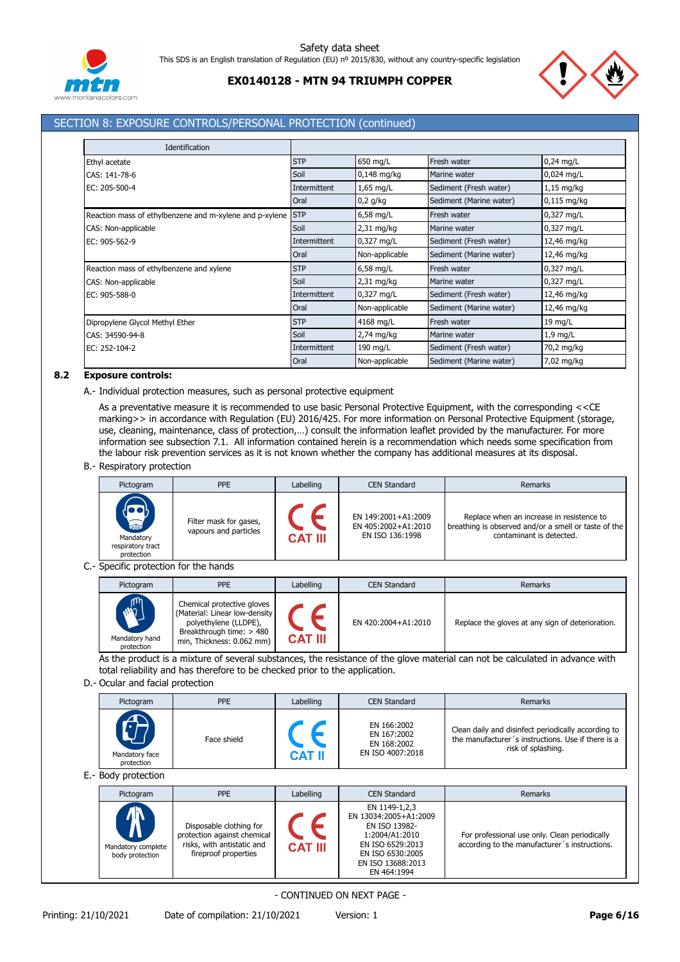



# SECTION 8: EXPOSURE CONTROLS/PERSONAL PROTECTION (continued)

| Identification                                              |              |                |                         |               |
|-------------------------------------------------------------|--------------|----------------|-------------------------|---------------|
| Ethyl acetate                                               | <b>STP</b>   | 650 mg/L       | Fresh water             | $0,24$ mg/L   |
| CAS: 141-78-6                                               | Soil         | $0,148$ mg/kg  | Marine water            | 0,024 mg/L    |
| EC: 205-500-4                                               | Intermittent | 1,65 mg/L      | Sediment (Fresh water)  | $1,15$ mg/kg  |
|                                                             | Oral         | $0,2$ g/kg     | Sediment (Marine water) | $0,115$ mg/kg |
| Reaction mass of ethylbenzene and m-xylene and p-xylene STP |              | 6,58 mg/L      | Fresh water             | 0,327 mg/L    |
| CAS: Non-applicable                                         | Soil         | $2,31$ mg/kg   | Marine water            | 0,327 mg/L    |
| EC: 905-562-9                                               | Intermittent | 0,327 mg/L     | Sediment (Fresh water)  | 12,46 mg/kg   |
|                                                             | Oral         | Non-applicable | Sediment (Marine water) | 12,46 mg/kg   |
| Reaction mass of ethylbenzene and xylene                    | <b>STP</b>   | $6,58$ mg/L    | Fresh water             | 0,327 mg/L    |
| CAS: Non-applicable                                         | Soil         | $2,31$ mg/kg   | Marine water            | 0,327 mg/L    |
| EC: 905-588-0                                               | Intermittent | 0,327 mg/L     | Sediment (Fresh water)  | 12,46 mg/kg   |
|                                                             | Oral         | Non-applicable | Sediment (Marine water) | 12,46 mg/kg   |
| Dipropylene Glycol Methyl Ether                             | <b>STP</b>   | 4168 mg/L      | Fresh water             | 19 mg/L       |
| CAS: 34590-94-8                                             | Soil         | $2,74$ mg/kg   | Marine water            | $1,9$ mg/L    |
| EC: 252-104-2                                               | Intermittent | 190 mg/L       | Sediment (Fresh water)  | 70,2 mg/kg    |
|                                                             | Oral         | Non-applicable | Sediment (Marine water) | 7,02 mg/kg    |

### **8.2 Exposure controls:**

A.- Individual protection measures, such as personal protective equipment

As a preventative measure it is recommended to use basic Personal Protective Equipment, with the corresponding <<CE marking>> in accordance with Regulation (EU) 2016/425. For more information on Personal Protective Equipment (storage, use, cleaning, maintenance, class of protection,...) consult the information leaflet provided by the manufacturer. For more information see subsection 7.1. All information contained herein is a recommendation which needs some specification from the labour risk prevention services as it is not known whether the company has additional measures at its disposal.

B.- Respiratory protection

| Pictogram                                                      | <b>PPE</b>                                      | Labelling      | <b>CEN Standard</b>                                           | Remarks                                                                                                                       |
|----------------------------------------------------------------|-------------------------------------------------|----------------|---------------------------------------------------------------|-------------------------------------------------------------------------------------------------------------------------------|
| <b>READERS</b><br>Mandatory<br>respiratory tract<br>protection | Filter mask for gases,<br>vapours and particles | <b>CAT III</b> | EN 149:2001+A1:2009<br>EN 405:2002+A1:2010<br>EN ISO 136:1998 | Replace when an increase in resistence to<br>breathing is observed and/or a smell or taste of the<br>contaminant is detected. |

C.- Specific protection for the hands

| Pictogram                                  | <b>PPE</b>                                                                                                                                    | Labelling      | <b>CEN Standard</b> | Remarks                                          |
|--------------------------------------------|-----------------------------------------------------------------------------------------------------------------------------------------------|----------------|---------------------|--------------------------------------------------|
| <b>AND</b><br>Mandatory hand<br>protection | Chemical protective gloves<br>(Material: Linear low-density<br>polyethylene (LLDPE),<br>Breakthrough time: > 480<br>min, Thickness: 0.062 mm) | <b>CAT III</b> | EN 420:2004+A1:2010 | Replace the gloves at any sign of deterioration. |

As the product is a mixture of several substances, the resistance of the glove material can not be calculated in advance with total reliability and has therefore to be checked prior to the application.

#### D.- Ocular and facial protection

| Pictogram                    | <b>PPE</b>  | Labelling     | <b>CEN Standard</b>                                           | Remarks                                                                                                                         |
|------------------------------|-------------|---------------|---------------------------------------------------------------|---------------------------------------------------------------------------------------------------------------------------------|
| Mandatory face<br>protection | Face shield | <b>CAT II</b> | EN 166:2002<br>EN 167:2002<br>EN 168:2002<br>EN ISO 4007:2018 | Clean daily and disinfect periodically according to<br>the manufacturer's instructions. Use if there is a<br>risk of splashing. |

E.- Body protection

| Pictogram                                                                              | <b>PPE</b>                                                                                                   | Labelling      | <b>CEN Standard</b>                                                                                                                                   | Remarks                                                                                        |
|----------------------------------------------------------------------------------------|--------------------------------------------------------------------------------------------------------------|----------------|-------------------------------------------------------------------------------------------------------------------------------------------------------|------------------------------------------------------------------------------------------------|
| <b>/IN</b><br>$\boldsymbol{\mathsf{\Lambda}}$<br>Mandatory complete<br>body protection | Disposable clothing for<br>protection against chemical<br>risks, with antistatic and<br>fireproof properties | <b>CAT III</b> | EN 1149-1,2,3<br>EN 13034:2005+A1:2009<br>EN ISO 13982-<br>1:2004/A1:2010<br>EN ISO 6529:2013<br>EN ISO 6530:2005<br>EN ISO 13688:2013<br>EN 464:1994 | For professional use only. Clean periodically<br>according to the manufacturer's instructions. |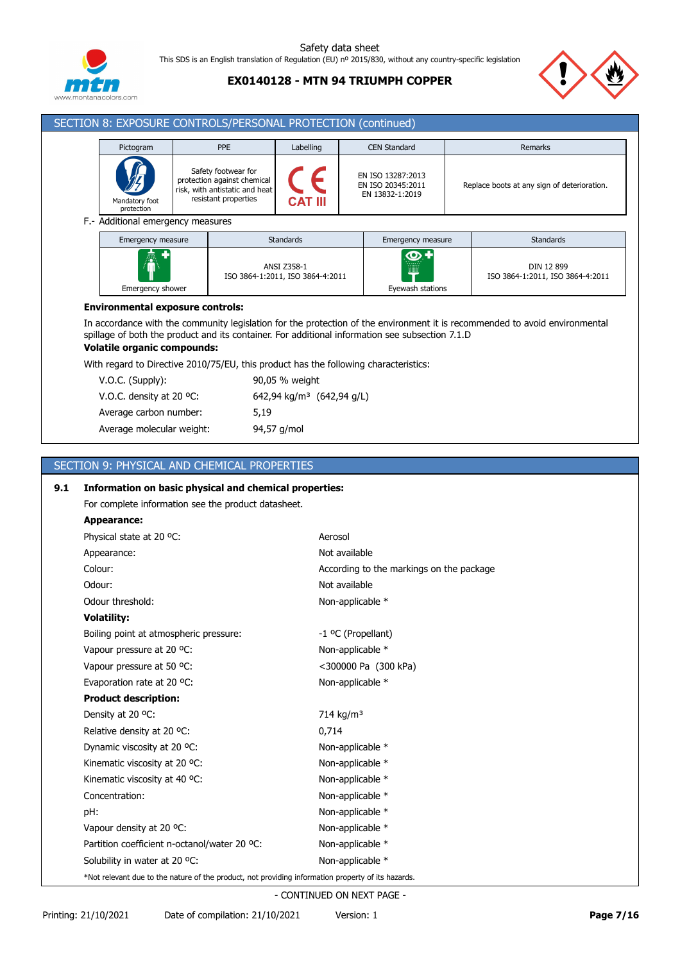

# **EX0140128 - MTN 94 TRIUMPH COPPER**



#### SECTION 8: EXPOSURE CONTROLS/PERSONAL PROTECTION (continued) Pictogram **PPE Labelling CEN Standard** Remarks Safety footwear for F EN ISO 13287:2013 protection against chemical Replace boots at any sign of deterioration. EN ISO 20345:2011 risk, with antistatic and heat EN 13832-1:2019 resistant properties Mandatory foot **CAT III**

F.- Additional emergency measures

protection

| Emergency measure     | <b>Standards</b>                                | Emergency measure          | <b>Standards</b>                               |
|-----------------------|-------------------------------------------------|----------------------------|------------------------------------------------|
| 憑<br>Emergency shower | ANSI Z358-1<br>ISO 3864-1:2011, ISO 3864-4:2011 | .<br>▦<br>Eyewash stations | DIN 12 899<br>ISO 3864-1:2011, ISO 3864-4:2011 |

### **Environmental exposure controls:**

In accordance with the community legislation for the protection of the environment it is recommended to avoid environmental spillage of both the product and its container. For additional information see subsection 7.1.D

# **Volatile organic compounds:**

With regard to Directive 2010/75/EU, this product has the following characteristics:

| $V.O.C.$ (Supply):                 | 90,05 % weight                        |
|------------------------------------|---------------------------------------|
| V.O.C. density at 20 $^{\circ}$ C: | 642,94 kg/m <sup>3</sup> (642,94 g/L) |
| Average carbon number:             | 5.19                                  |
| Average molecular weight:          | 94,57 g/mol                           |

# SECTION 9: PHYSICAL AND CHEMICAL PROPERTIES

| 9.1 | Information on basic physical and chemical properties:                                             |                                          |  |  |  |  |
|-----|----------------------------------------------------------------------------------------------------|------------------------------------------|--|--|--|--|
|     | For complete information see the product datasheet.                                                |                                          |  |  |  |  |
|     | <b>Appearance:</b>                                                                                 |                                          |  |  |  |  |
|     | Physical state at 20 °C:                                                                           | Aerosol                                  |  |  |  |  |
|     | Appearance:                                                                                        | Not available                            |  |  |  |  |
|     | Colour:                                                                                            | According to the markings on the package |  |  |  |  |
|     | Odour:                                                                                             | Not available                            |  |  |  |  |
|     | Odour threshold:                                                                                   | Non-applicable *                         |  |  |  |  |
|     | <b>Volatility:</b>                                                                                 |                                          |  |  |  |  |
|     | Boiling point at atmospheric pressure:                                                             | -1 °C (Propellant)                       |  |  |  |  |
|     | Vapour pressure at 20 °C:                                                                          | Non-applicable *                         |  |  |  |  |
|     | Vapour pressure at 50 °C:                                                                          | <300000 Pa (300 kPa)                     |  |  |  |  |
|     | Evaporation rate at 20 °C:                                                                         | Non-applicable *                         |  |  |  |  |
|     | <b>Product description:</b>                                                                        |                                          |  |  |  |  |
|     | Density at 20 °C:                                                                                  | 714 kg/m <sup>3</sup>                    |  |  |  |  |
|     | Relative density at 20 °C:                                                                         | 0,714                                    |  |  |  |  |
|     | Dynamic viscosity at 20 °C:                                                                        | Non-applicable *                         |  |  |  |  |
|     | Kinematic viscosity at 20 °C:                                                                      | Non-applicable *                         |  |  |  |  |
|     | Kinematic viscosity at 40 °C:                                                                      | Non-applicable *                         |  |  |  |  |
|     | Concentration:                                                                                     | Non-applicable *                         |  |  |  |  |
|     | pH:                                                                                                | Non-applicable *                         |  |  |  |  |
|     | Vapour density at 20 °C:                                                                           | Non-applicable *                         |  |  |  |  |
|     | Partition coefficient n-octanol/water 20 °C:                                                       | Non-applicable *                         |  |  |  |  |
|     | Solubility in water at 20 °C:                                                                      | Non-applicable *                         |  |  |  |  |
|     | *Not relevant due to the nature of the product, not providing information property of its hazards. |                                          |  |  |  |  |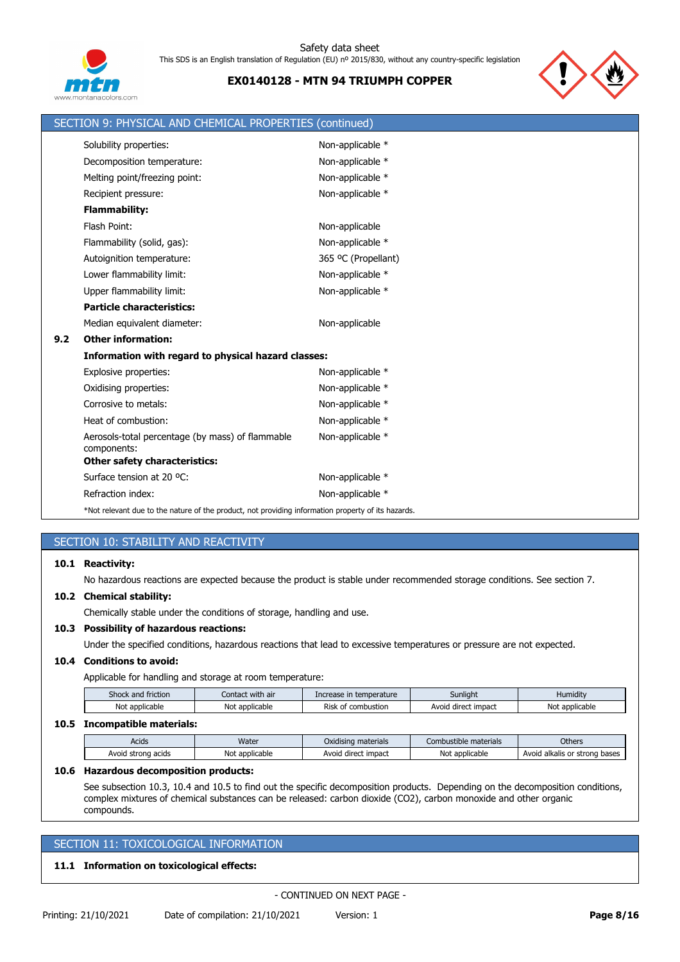

# **EX0140128 - MTN 94 TRIUMPH COPPER**



|     | SECTION 9: PHYSICAL AND CHEMICAL PROPERTIES (continued)                                            |                     |
|-----|----------------------------------------------------------------------------------------------------|---------------------|
|     | Solubility properties:                                                                             | Non-applicable *    |
|     | Decomposition temperature:                                                                         | Non-applicable *    |
|     | Melting point/freezing point:                                                                      | Non-applicable *    |
|     | Recipient pressure:                                                                                | Non-applicable *    |
|     | <b>Flammability:</b>                                                                               |                     |
|     | Flash Point:                                                                                       | Non-applicable      |
|     | Flammability (solid, gas):                                                                         | Non-applicable *    |
|     | Autoignition temperature:                                                                          | 365 °C (Propellant) |
|     | Lower flammability limit:                                                                          | Non-applicable *    |
|     | Upper flammability limit:                                                                          | Non-applicable *    |
|     | <b>Particle characteristics:</b>                                                                   |                     |
|     | Median equivalent diameter:                                                                        | Non-applicable      |
| 9.2 | <b>Other information:</b>                                                                          |                     |
|     | Information with regard to physical hazard classes:                                                |                     |
|     | Explosive properties:                                                                              | Non-applicable *    |
|     | Oxidising properties:                                                                              | Non-applicable *    |
|     | Corrosive to metals:                                                                               | Non-applicable *    |
|     | Heat of combustion:                                                                                | Non-applicable *    |
|     | Aerosols-total percentage (by mass) of flammable<br>components:                                    | Non-applicable *    |
|     | <b>Other safety characteristics:</b>                                                               |                     |
|     | Surface tension at 20 °C:                                                                          | Non-applicable *    |
|     | Refraction index:                                                                                  | Non-applicable *    |
|     | *Not relevant due to the nature of the product, not providing information property of its hazards. |                     |

# SECTION 10: STABILITY AND REACTIVITY

### **10.1 Reactivity:**

No hazardous reactions are expected because the product is stable under recommended storage conditions. See section 7.

### **10.2 Chemical stability:**

Chemically stable under the conditions of storage, handling and use.

## **10.3 Possibility of hazardous reactions:**

Under the specified conditions, hazardous reactions that lead to excessive temperatures or pressure are not expected.

### **10.4 Conditions to avoid:**

Applicable for handling and storage at room temperature:

| Shock and friction | Contact with air | Increase in temperature   | Sunlight            | Humidity       |
|--------------------|------------------|---------------------------|---------------------|----------------|
| Not applicable     | Not applicable   | Risk<br>t of combustion : | Avoid direct impact | Not applicable |
| --- -              |                  |                           |                     |                |

### **10.5 Incompatible materials:**

| .                  |                |                     |                       |                               |
|--------------------|----------------|---------------------|-----------------------|-------------------------------|
| Acids              | Water          | Oxidising materials | Combustible materials | <b>Others</b>                 |
| Avoid strong acids | Not applicable | Avoid direct impact | Not applicable        | Avoid alkalis or strong bases |

#### **10.6 Hazardous decomposition products:**

See subsection 10.3, 10.4 and 10.5 to find out the specific decomposition products. Depending on the decomposition conditions, complex mixtures of chemical substances can be released: carbon dioxide (CO2), carbon monoxide and other organic compounds.

# SECTION 11: TOXICOLOGICAL INFORMATION

### **11.1 Information on toxicological effects:**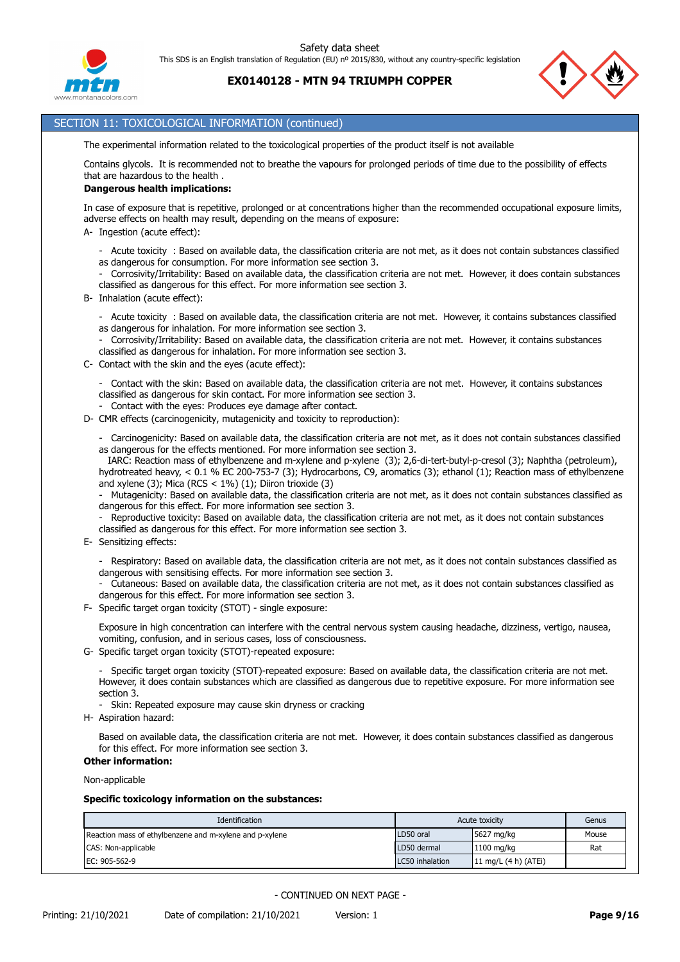



# SECTION 11: TOXICOLOGICAL INFORMATION (continued)

The experimental information related to the toxicological properties of the product itself is not available

Contains glycols. It is recommended not to breathe the vapours for prolonged periods of time due to the possibility of effects that are hazardous to the health .

#### **Dangerous health implications:**

In case of exposure that is repetitive, prolonged or at concentrations higher than the recommended occupational exposure limits, adverse effects on health may result, depending on the means of exposure:

- A- Ingestion (acute effect):
	- Acute toxicity : Based on available data, the classification criteria are not met, as it does not contain substances classified as dangerous for consumption. For more information see section 3.
	- Corrosivity/Irritability: Based on available data, the classification criteria are not met. However, it does contain substances classified as dangerous for this effect. For more information see section 3.
- B- Inhalation (acute effect):
	- Acute toxicity : Based on available data, the classification criteria are not met. However, it contains substances classified as dangerous for inhalation. For more information see section 3.

- Corrosivity/Irritability: Based on available data, the classification criteria are not met. However, it contains substances classified as dangerous for inhalation. For more information see section 3.

C- Contact with the skin and the eyes (acute effect):

- Contact with the skin: Based on available data, the classification criteria are not met. However, it contains substances classified as dangerous for skin contact. For more information see section 3.

- Contact with the eyes: Produces eye damage after contact.
- D- CMR effects (carcinogenicity, mutagenicity and toxicity to reproduction):

- Carcinogenicity: Based on available data, the classification criteria are not met, as it does not contain substances classified as dangerous for the effects mentioned. For more information see section 3.

 IARC: Reaction mass of ethylbenzene and m-xylene and p-xylene (3); 2,6-di-tert-butyl-p-cresol (3); Naphtha (petroleum), hydrotreated heavy, < 0.1 % EC 200-753-7 (3); Hydrocarbons, C9, aromatics (3); ethanol (1); Reaction mass of ethylbenzene and xylene (3); Mica (RCS  $<$  1%) (1); Diiron trioxide (3)

- Mutagenicity: Based on available data, the classification criteria are not met, as it does not contain substances classified as dangerous for this effect. For more information see section 3.

- Reproductive toxicity: Based on available data, the classification criteria are not met, as it does not contain substances classified as dangerous for this effect. For more information see section 3.
- E- Sensitizing effects:

- Respiratory: Based on available data, the classification criteria are not met, as it does not contain substances classified as dangerous with sensitising effects. For more information see section 3.

- Cutaneous: Based on available data, the classification criteria are not met, as it does not contain substances classified as dangerous for this effect. For more information see section 3.

F- Specific target organ toxicity (STOT) - single exposure:

Exposure in high concentration can interfere with the central nervous system causing headache, dizziness, vertigo, nausea, vomiting, confusion, and in serious cases, loss of consciousness.

G- Specific target organ toxicity (STOT)-repeated exposure:

- Specific target organ toxicity (STOT)-repeated exposure: Based on available data, the classification criteria are not met. However, it does contain substances which are classified as dangerous due to repetitive exposure. For more information see section 3.

- Skin: Repeated exposure may cause skin dryness or cracking
- H- Aspiration hazard:

Based on available data, the classification criteria are not met. However, it does contain substances classified as dangerous for this effect. For more information see section 3.

# **Other information:**

Non-applicable

#### **Specific toxicology information on the substances:**

| Identification                                          |                 | Acute toxicity         | Genus |
|---------------------------------------------------------|-----------------|------------------------|-------|
| Reaction mass of ethylbenzene and m-xylene and p-xylene | LD50 oral       | $5627 \text{ mg/kg}$   | Mouse |
| CAS: Non-applicable                                     | LD50 dermal     | $1100$ mg/kg           | Rat   |
| EC: 905-562-9                                           | LC50 inhalation | 11 mg/L $(4 h)$ (ATEi) |       |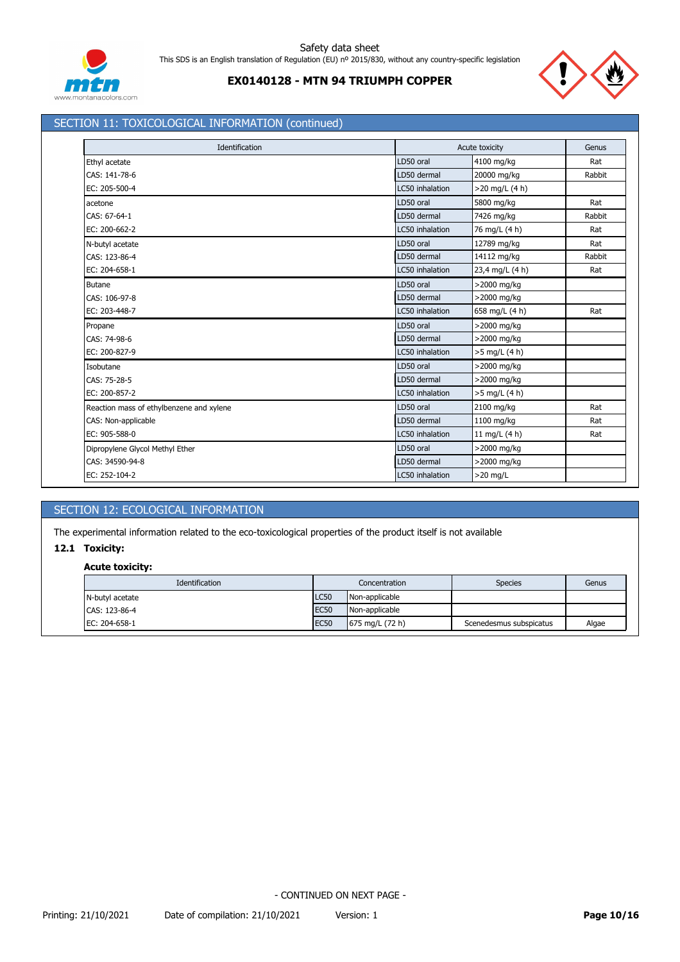



# SECTION 11: TOXICOLOGICAL INFORMATION (continued)

| Identification                           |                 | Acute toxicity   | Genus  |
|------------------------------------------|-----------------|------------------|--------|
| Ethyl acetate                            | LD50 oral       | 4100 mg/kg       | Rat    |
| CAS: 141-78-6                            | LD50 dermal     | 20000 mg/kg      | Rabbit |
| EC: 205-500-4                            | LC50 inhalation | $>20$ mg/L (4 h) |        |
| acetone                                  | LD50 oral       | 5800 mg/kg       | Rat    |
| CAS: 67-64-1                             | LD50 dermal     | 7426 mg/kg       | Rabbit |
| EC: 200-662-2                            | LC50 inhalation | 76 mg/L (4 h)    | Rat    |
| N-butyl acetate                          | LD50 oral       | 12789 mg/kg      | Rat    |
| CAS: 123-86-4                            | LD50 dermal     | 14112 mg/kg      | Rabbit |
| EC: 204-658-1                            | LC50 inhalation | 23,4 mg/L (4 h)  | Rat    |
| Butane                                   | LD50 oral       | >2000 mg/kg      |        |
| CAS: 106-97-8                            | LD50 dermal     | >2000 mg/kg      |        |
| EC: 203-448-7                            | LC50 inhalation | 658 mg/L (4 h)   | Rat    |
| Propane                                  | LD50 oral       | >2000 mg/kg      |        |
| CAS: 74-98-6                             | LD50 dermal     | >2000 mg/kg      |        |
| EC: 200-827-9                            | LC50 inhalation | $>5$ mg/L (4 h)  |        |
| Isobutane                                | LD50 oral       | >2000 mg/kg      |        |
| CAS: 75-28-5                             | LD50 dermal     | >2000 mg/kg      |        |
| EC: 200-857-2                            | LC50 inhalation | $>5$ mg/L (4 h)  |        |
| Reaction mass of ethylbenzene and xylene | LD50 oral       | 2100 mg/kg       | Rat    |
| CAS: Non-applicable                      | LD50 dermal     | 1100 mg/kg       | Rat    |
| EC: 905-588-0                            | LC50 inhalation | 11 mg/L (4 h)    | Rat    |
| Dipropylene Glycol Methyl Ether          | LD50 oral       | >2000 mg/kg      |        |
| CAS: 34590-94-8                          | LD50 dermal     | >2000 mg/kg      |        |
| EC: 252-104-2                            | LC50 inhalation | $>20$ mg/L       |        |

# SECTION 12: ECOLOGICAL INFORMATION

The experimental information related to the eco-toxicological properties of the product itself is not available

# **12.1 Toxicity:**

### **Acute toxicity:**

| Identification  | Concentration |                 | <b>Species</b>          | Genus |
|-----------------|---------------|-----------------|-------------------------|-------|
| N-butyl acetate | <b>LC50</b>   | Non-applicable  |                         |       |
| CAS: 123-86-4   | <b>EC50</b>   | Non-applicable  |                         |       |
| EC: 204-658-1   | <b>EC50</b>   | 675 mg/L (72 h) | Scenedesmus subspicatus | Algae |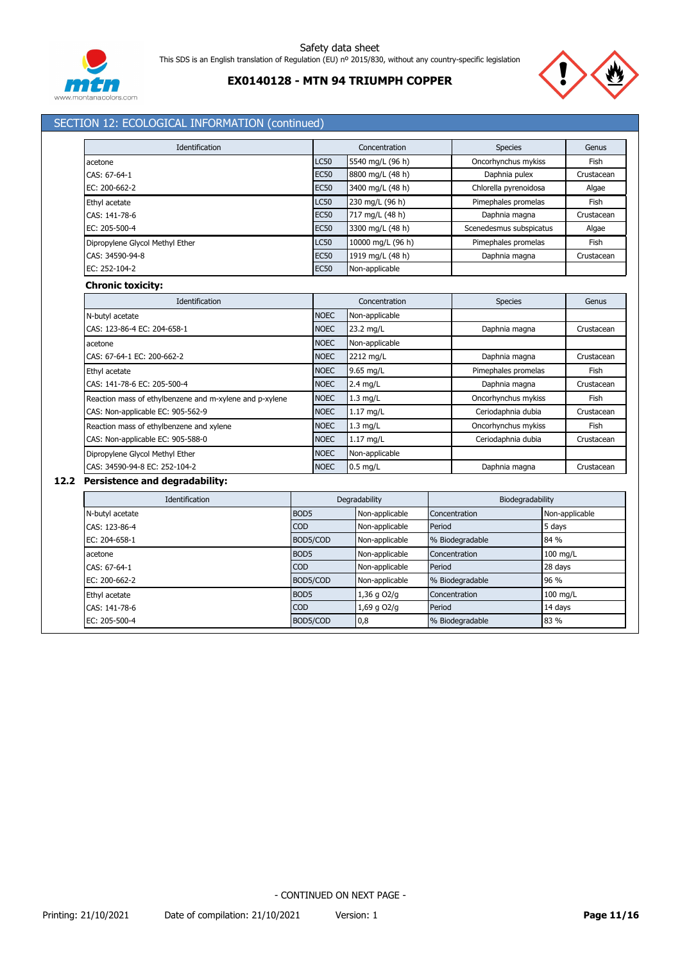

# **EX0140128 - MTN 94 TRIUMPH COPPER**



# SECTION 12: ECOLOGICAL INFORMATION (continued)

| Identification                  |             | Concentration     | <b>Species</b>          | Genus      |  |
|---------------------------------|-------------|-------------------|-------------------------|------------|--|
| acetone                         | <b>LC50</b> | 5540 mg/L (96 h)  | Oncorhynchus mykiss     | Fish       |  |
| CAS: 67-64-1                    | <b>EC50</b> | 8800 mg/L (48 h)  | Daphnia pulex           | Crustacean |  |
| $EC: 200-662-2$                 | <b>EC50</b> | 3400 mg/L (48 h)  | Chlorella pyrenoidosa   | Algae      |  |
| Ethyl acetate                   | <b>LC50</b> | 230 mg/L (96 h)   | Pimephales promelas     | Fish       |  |
| CAS: 141-78-6                   | <b>EC50</b> | 717 mg/L (48 h)   | Daphnia magna           | Crustacean |  |
| EC: 205-500-4                   | <b>EC50</b> | 3300 mg/L (48 h)  | Scenedesmus subspicatus | Algae      |  |
| Dipropylene Glycol Methyl Ether | <b>LC50</b> | 10000 mg/L (96 h) | Pimephales promelas     | Fish       |  |
| CAS: 34590-94-8                 | <b>EC50</b> | 1919 mg/L (48 h)  | Daphnia magna           | Crustacean |  |
| EC: 252-104-2                   | <b>EC50</b> | Non-applicable    |                         |            |  |

#### **Chronic toxicity:**

| Identification                                          |             | Concentration  | <b>Species</b>      | Genus      |
|---------------------------------------------------------|-------------|----------------|---------------------|------------|
| N-butyl acetate                                         | <b>NOEC</b> | Non-applicable |                     |            |
| CAS: 123-86-4 EC: 204-658-1                             | <b>NOEC</b> | 23.2 mg/L      | Daphnia magna       | Crustacean |
| acetone                                                 | <b>NOEC</b> | Non-applicable |                     |            |
| CAS: 67-64-1 EC: 200-662-2                              | <b>NOEC</b> | 2212 mg/L      | Daphnia magna       | Crustacean |
| Ethyl acetate                                           | <b>NOEC</b> | 9.65 mg/L      | Pimephales promelas | Fish       |
| CAS: 141-78-6 EC: 205-500-4                             | <b>NOEC</b> | $2.4$ mg/L     | Daphnia magna       | Crustacean |
| Reaction mass of ethylbenzene and m-xylene and p-xylene | <b>NOEC</b> | $1.3$ mg/L     | Oncorhynchus mykiss | Fish       |
| CAS: Non-applicable EC: 905-562-9                       | <b>NOEC</b> | $1.17$ mg/L    | Ceriodaphnia dubia  | Crustacean |
| Reaction mass of ethylbenzene and xylene                | <b>NOEC</b> | $1.3$ mg/L     | Oncorhynchus mykiss | Fish       |
| CAS: Non-applicable EC: 905-588-0                       | <b>NOEC</b> | $1.17$ mg/L    | Ceriodaphnia dubia  | Crustacean |
| Dipropylene Glycol Methyl Ether                         | <b>NOEC</b> | Non-applicable |                     |            |
| CAS: 34590-94-8 EC: 252-104-2                           | <b>NOEC</b> | $0.5$ mg/L     | Daphnia magna       | Crustacean |

# **12.2 Persistence and degradability:**

| Identification  | Degradability    |                | Biodegradability |                |
|-----------------|------------------|----------------|------------------|----------------|
| N-butyl acetate | BOD <sub>5</sub> | Non-applicable | Concentration    | Non-applicable |
| CAS: 123-86-4   | <b>COD</b>       | Non-applicable | Period           | 5 days         |
| EC: 204-658-1   | BOD5/COD         | Non-applicable | % Biodegradable  | 84 %           |
| acetone         | BOD <sub>5</sub> | Non-applicable | Concentration    | 100 mg/L       |
| CAS: 67-64-1    | <b>COD</b>       | Non-applicable | Period           | 28 days        |
| EC: 200-662-2   | BOD5/COD         | Non-applicable | % Biodegradable  | 96 %           |
| Ethyl acetate   | BOD <sub>5</sub> | $1,36$ g O2/g  | Concentration    | $100$ mg/L     |
| CAS: 141-78-6   | <b>COD</b>       | 1,69 g O2/g    | Period           | 14 days        |
| EC: 205-500-4   | BOD5/COD         | 0,8            | % Biodegradable  | 83 %           |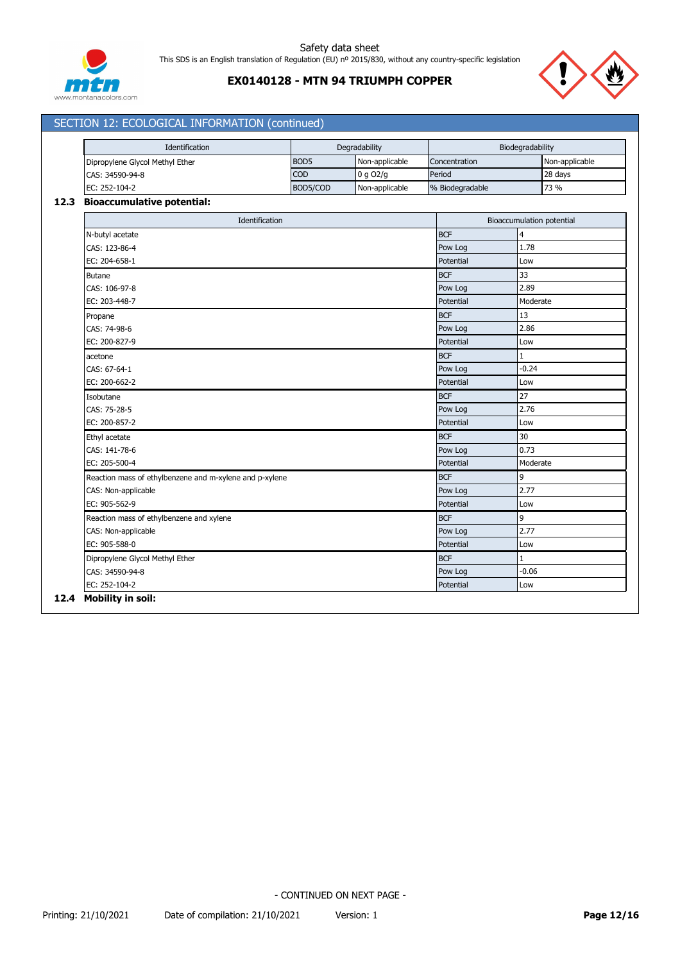

# **EX0140128 - MTN 94 TRIUMPH COPPER**



# SECTION 12: ECOLOGICAL INFORMATION (continued)

| Identification                  |                  | Degradability  | Biodegradability |                |
|---------------------------------|------------------|----------------|------------------|----------------|
| Dipropylene Glycol Methyl Ether | BOD <sub>5</sub> | Non-applicable | Concentration    | Non-applicable |
|                                 |                  |                |                  |                |
| CAS: 34590-94-8                 | <b>COD</b>       | $0$ g O2/g     | Period           | 28 days        |
| EC: 252-104-2                   | BOD5/COD         | Non-applicable | % Biodegradable  | 73 %           |
| Blackmann dettor metantlet      |                  |                |                  |                |

#### **12.3 Bioaccumulative potential:**

| Identification                                          |            | <b>Bioaccumulation potential</b> |
|---------------------------------------------------------|------------|----------------------------------|
| N-butyl acetate                                         | <b>BCF</b> | 4                                |
| CAS: 123-86-4                                           | Pow Log    | 1.78                             |
| EC: 204-658-1                                           | Potential  | Low                              |
| <b>Butane</b>                                           | <b>BCF</b> | 33                               |
| CAS: 106-97-8                                           | Pow Log    | 2.89                             |
| EC: 203-448-7                                           | Potential  | Moderate                         |
| Propane                                                 | <b>BCF</b> | 13                               |
| CAS: 74-98-6                                            | Pow Log    | 2.86                             |
| EC: 200-827-9                                           | Potential  | Low                              |
| acetone                                                 | <b>BCF</b> | 1                                |
| CAS: 67-64-1                                            | Pow Log    | $-0.24$                          |
| EC: 200-662-2                                           | Potential  | Low                              |
| Isobutane                                               | <b>BCF</b> | 27                               |
| CAS: 75-28-5                                            | Pow Log    | 2.76                             |
| EC: 200-857-2                                           | Potential  | Low                              |
| Ethyl acetate                                           | <b>BCF</b> | 30                               |
| CAS: 141-78-6                                           | Pow Log    | 0.73                             |
| EC: 205-500-4                                           | Potential  | Moderate                         |
| Reaction mass of ethylbenzene and m-xylene and p-xylene | <b>BCF</b> | 9                                |
| CAS: Non-applicable                                     | Pow Log    | 2.77                             |
| EC: 905-562-9                                           | Potential  | Low                              |
| Reaction mass of ethylbenzene and xylene                | <b>BCF</b> | 9                                |
| CAS: Non-applicable                                     | Pow Log    | 2.77                             |
| EC: 905-588-0                                           | Potential  | Low                              |
| Dipropylene Glycol Methyl Ether                         | <b>BCF</b> | 1                                |
| CAS: 34590-94-8                                         | Pow Log    | $-0.06$                          |
| EC: 252-104-2                                           | Potential  | Low                              |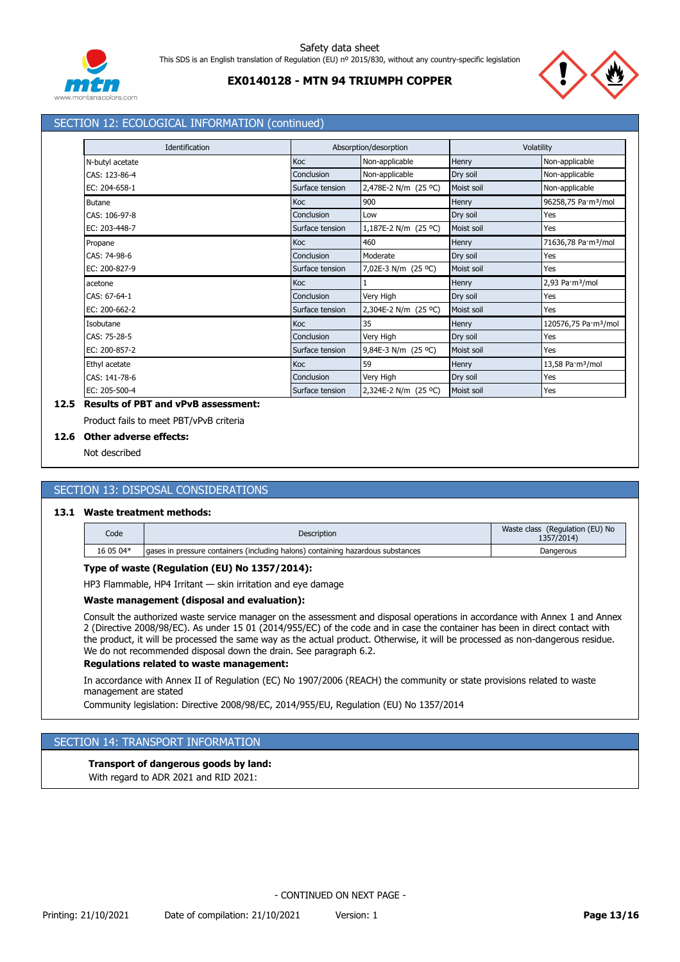

# **EX0140128 - MTN 94 TRIUMPH COPPER**



# SECTION 12: ECOLOGICAL INFORMATION (continued)

| Identification  | Absorption/desorption |                      | Volatility |                                  |
|-----------------|-----------------------|----------------------|------------|----------------------------------|
| N-butyl acetate | Koc                   | Non-applicable       | Henry      | Non-applicable                   |
| CAS: 123-86-4   | Conclusion            | Non-applicable       | Dry soil   | Non-applicable                   |
| EC: 204-658-1   | Surface tension       | 2,478E-2 N/m (25 °C) | Moist soil | Non-applicable                   |
| <b>Butane</b>   | Koc                   | 900                  | Henry      | 96258,75 Pa·m <sup>3</sup> /mol  |
| CAS: 106-97-8   | Conclusion            | Low                  | Dry soil   | Yes                              |
| EC: 203-448-7   | Surface tension       | 1,187E-2 N/m (25 °C) | Moist soil | Yes                              |
| Propane         | Koc                   | 460                  | Henry      | 71636,78 Pa·m <sup>3</sup> /mol  |
| CAS: 74-98-6    | Conclusion            | Moderate             | Dry soil   | Yes                              |
| EC: 200-827-9   | Surface tension       | 7,02E-3 N/m (25 °C)  | Moist soil | Yes                              |
| acetone         | Koc                   |                      | Henry      | 2,93 Pa·m <sup>3</sup> /mol      |
| CAS: 67-64-1    | Conclusion            | Very High            | Dry soil   | Yes                              |
| EC: 200-662-2   | Surface tension       | 2,304E-2 N/m (25 °C) | Moist soil | Yes                              |
| Isobutane       | Koc                   | 35                   | Henry      | 120576,75 Pa·m <sup>3</sup> /mol |
| CAS: 75-28-5    | Conclusion            | Very High            | Dry soil   | Yes                              |
| EC: 200-857-2   | Surface tension       | 9,84E-3 N/m (25 °C)  | Moist soil | Yes                              |
| Ethyl acetate   | Koc                   | 59                   | Henry      | 13,58 Pa·m <sup>3</sup> /mol     |
| CAS: 141-78-6   | Conclusion            | Very High            | Dry soil   | Yes                              |
| EC: 205-500-4   | Surface tension       | 2,324E-2 N/m (25 °C) | Moist soil | Yes                              |

# **12.5 Results of PBT and vPvB assessment:**

Product fails to meet PBT/vPvB criteria

# **12.6 Other adverse effects:**

Not described

# SECTION 13: DISPOSAL CONSIDERATIONS

# **13.1 Waste treatment methods:**

| Code      | <b>Description</b>                                                               | Waste class (Regulation (EU) No<br>1357/2014) |
|-----------|----------------------------------------------------------------------------------|-----------------------------------------------|
| 16 05 04* | Laases in pressure containers (including halons) containing hazardous substances | Dangerous                                     |

### **Type of waste (Regulation (EU) No 1357/2014):**

HP3 Flammable, HP4 Irritant — skin irritation and eye damage

#### **Waste management (disposal and evaluation):**

Consult the authorized waste service manager on the assessment and disposal operations in accordance with Annex 1 and Annex 2 (Directive 2008/98/EC). As under 15 01 (2014/955/EC) of the code and in case the container has been in direct contact with the product, it will be processed the same way as the actual product. Otherwise, it will be processed as non-dangerous residue. We do not recommended disposal down the drain. See paragraph 6.2.

### **Regulations related to waste management:**

In accordance with Annex II of Regulation (EC) No 1907/2006 (REACH) the community or state provisions related to waste management are stated

Community legislation: Directive 2008/98/EC, 2014/955/EU, Regulation (EU) No 1357/2014

### SECTION 14: TRANSPORT INFORMATION

### **Transport of dangerous goods by land:**

With regard to ADR 2021 and RID 2021: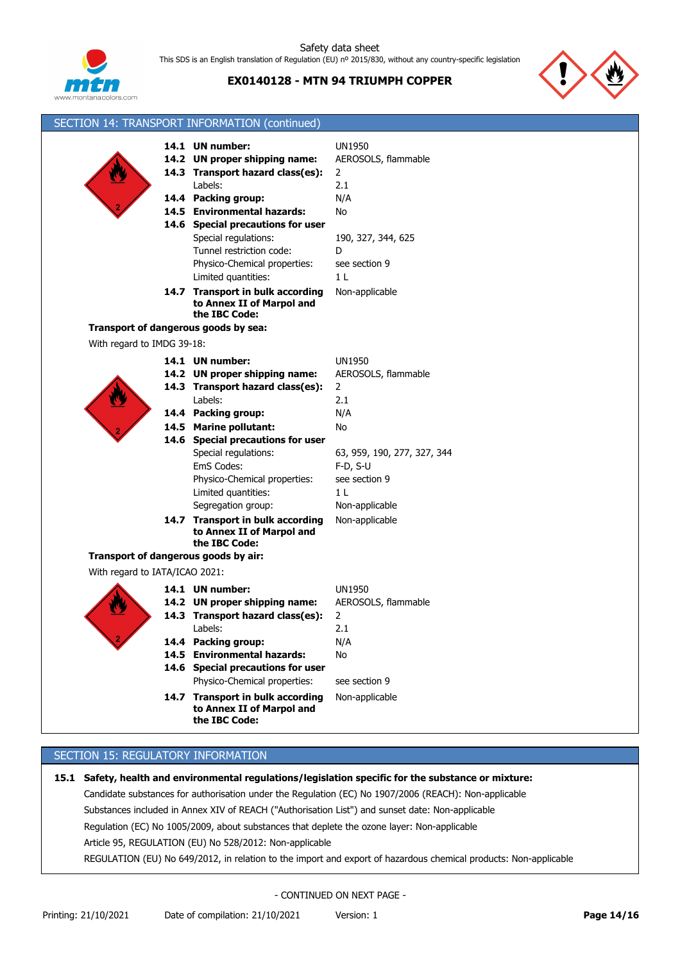

**EX0140128 - MTN 94 TRIUMPH COPPER**



|                                      | SECTION 14: TRANSPORT INFORMATION (continued)                                                                                                                                                                                                                                                                                             |                                                                                                                                                            |
|--------------------------------------|-------------------------------------------------------------------------------------------------------------------------------------------------------------------------------------------------------------------------------------------------------------------------------------------------------------------------------------------|------------------------------------------------------------------------------------------------------------------------------------------------------------|
|                                      | 14.1 UN number:<br>14.2 UN proper shipping name:<br>14.3 Transport hazard class(es):<br>Labels:<br>14.4 Packing group:<br>14.5 Environmental hazards:<br>14.6 Special precautions for user<br>Special regulations:<br>Tunnel restriction code:<br>Physico-Chemical properties:<br>Limited quantities:<br>14.7 Transport in bulk according | <b>UN1950</b><br>AEROSOLS, flammable<br>$\overline{2}$<br>2.1<br>N/A<br>No<br>190, 327, 344, 625<br>D<br>see section 9<br>1 <sub>L</sub><br>Non-applicable |
|                                      | to Annex II of Marpol and<br>the IBC Code:                                                                                                                                                                                                                                                                                                |                                                                                                                                                            |
| Transport of dangerous goods by sea: |                                                                                                                                                                                                                                                                                                                                           |                                                                                                                                                            |
| With regard to IMDG 39-18:           |                                                                                                                                                                                                                                                                                                                                           |                                                                                                                                                            |
|                                      | 14.1 UN number:<br>14.2 UN proper shipping name:<br>14.3 Transport hazard class(es):<br>Labels:<br>14.4 Packing group:                                                                                                                                                                                                                    | <b>UN1950</b><br>AEROSOLS, flammable<br>$\overline{2}$<br>2.1<br>N/A                                                                                       |
|                                      | 14.5 Marine pollutant:                                                                                                                                                                                                                                                                                                                    | No                                                                                                                                                         |
|                                      | 14.6 Special precautions for user<br>Special regulations:<br>EmS Codes:<br>Physico-Chemical properties:<br>Limited quantities:<br>Segregation group:<br>14.7 Transport in bulk according<br>to Annex II of Marpol and<br>the IBC Code:                                                                                                    | 63, 959, 190, 277, 327, 344<br>$F-D, S-U$<br>see section 9<br>1 <sub>L</sub><br>Non-applicable<br>Non-applicable                                           |
| Transport of dangerous goods by air: |                                                                                                                                                                                                                                                                                                                                           |                                                                                                                                                            |
| With regard to IATA/ICAO 2021:       |                                                                                                                                                                                                                                                                                                                                           |                                                                                                                                                            |
|                                      | 14.1 UN number:<br>14.2 UN proper shipping name:<br>14.3 Transport hazard class(es):<br>Labels:<br>14.4 Packing group:                                                                                                                                                                                                                    | <b>UN1950</b><br>AEROSOLS, flammable<br>2<br>2.1<br>N/A                                                                                                    |
|                                      | 14.5 Environmental hazards:<br>14.6 Special precautions for user<br>Physico-Chemical properties:                                                                                                                                                                                                                                          | No<br>see section 9                                                                                                                                        |
|                                      | 14.7 Transport in bulk according<br>to Annex II of Marpol and<br>the IBC Code:                                                                                                                                                                                                                                                            | Non-applicable                                                                                                                                             |

# SECTION 15: REGULATORY INFORMATION

**15.1 Safety, health and environmental regulations/legislation specific for the substance or mixture:** Candidate substances for authorisation under the Regulation (EC) No 1907/2006 (REACH): Non-applicable Substances included in Annex XIV of REACH ("Authorisation List") and sunset date: Non-applicable Regulation (EC) No 1005/2009, about substances that deplete the ozone layer: Non-applicable Article 95, REGULATION (EU) No 528/2012: Non-applicable REGULATION (EU) No 649/2012, in relation to the import and export of hazardous chemical products: Non-applicable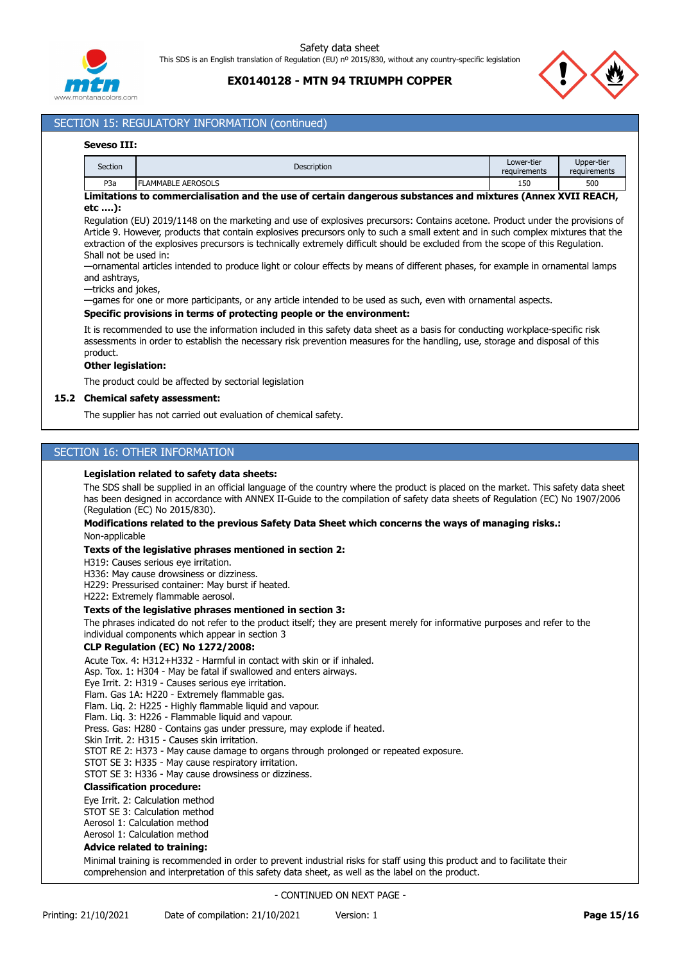

# **EX0140128 - MTN 94 TRIUMPH COPPER**



# SECTION 15: REGULATORY INFORMATION (continued)

#### **Seveso III:**

| Section          | <b>Description</b>        | Lower-tier<br>requirements | Upper-tier<br>requirements |
|------------------|---------------------------|----------------------------|----------------------------|
| P <sub>3</sub> a | <b>FLAMMABLE AEROSOLS</b> | 150                        | 500                        |

#### **Limitations to commercialisation and the use of certain dangerous substances and mixtures (Annex XVII REACH, etc ….):**

Regulation (EU) 2019/1148 on the marketing and use of explosives precursors: Contains acetone. Product under the provisions of Article 9. However, products that contain explosives precursors only to such a small extent and in such complex mixtures that the extraction of the explosives precursors is technically extremely difficult should be excluded from the scope of this Regulation. Shall not be used in:

—ornamental articles intended to produce light or colour effects by means of different phases, for example in ornamental lamps and ashtrays,

#### —tricks and jokes,

—games for one or more participants, or any article intended to be used as such, even with ornamental aspects.

#### **Specific provisions in terms of protecting people or the environment:**

It is recommended to use the information included in this safety data sheet as a basis for conducting workplace-specific risk assessments in order to establish the necessary risk prevention measures for the handling, use, storage and disposal of this product.

#### **Other legislation:**

The product could be affected by sectorial legislation

### **15.2 Chemical safety assessment:**

The supplier has not carried out evaluation of chemical safety.

### SECTION 16: OTHER INFORMATION

#### **Legislation related to safety data sheets:**

The SDS shall be supplied in an official language of the country where the product is placed on the market. This safety data sheet has been designed in accordance with ANNEX II-Guide to the compilation of safety data sheets of Regulation (EC) No 1907/2006 (Regulation (EC) No 2015/830).

#### **Modifications related to the previous Safety Data Sheet which concerns the ways of managing risks.:** Non-applicable

#### **Texts of the legislative phrases mentioned in section 2:**

H319: Causes serious eye irritation.

H336: May cause drowsiness or dizziness.

H229: Pressurised container: May burst if heated.

H222: Extremely flammable aerosol.

#### **Texts of the legislative phrases mentioned in section 3:**

The phrases indicated do not refer to the product itself; they are present merely for informative purposes and refer to the individual components which appear in section 3

### **CLP Regulation (EC) No 1272/2008:**

Acute Tox. 4: H312+H332 - Harmful in contact with skin or if inhaled.

Asp. Tox. 1: H304 - May be fatal if swallowed and enters airways.

Eye Irrit. 2: H319 - Causes serious eye irritation.

Flam. Gas 1A: H220 - Extremely flammable gas.

Flam. Liq. 2: H225 - Highly flammable liquid and vapour.

Flam. Liq. 3: H226 - Flammable liquid and vapour. Press. Gas: H280 - Contains gas under pressure, may explode if heated.

Skin Irrit. 2: H315 - Causes skin irritation.

STOT RE 2: H373 - May cause damage to organs through prolonged or repeated exposure.

STOT SE 3: H335 - May cause respiratory irritation.

STOT SE 3: H336 - May cause drowsiness or dizziness.

# **Classification procedure:**

Eye Irrit. 2: Calculation method

STOT SE 3: Calculation method

Aerosol 1: Calculation method

Aerosol 1: Calculation method

### **Advice related to training:**

Minimal training is recommended in order to prevent industrial risks for staff using this product and to facilitate their comprehension and interpretation of this safety data sheet, as well as the label on the product.